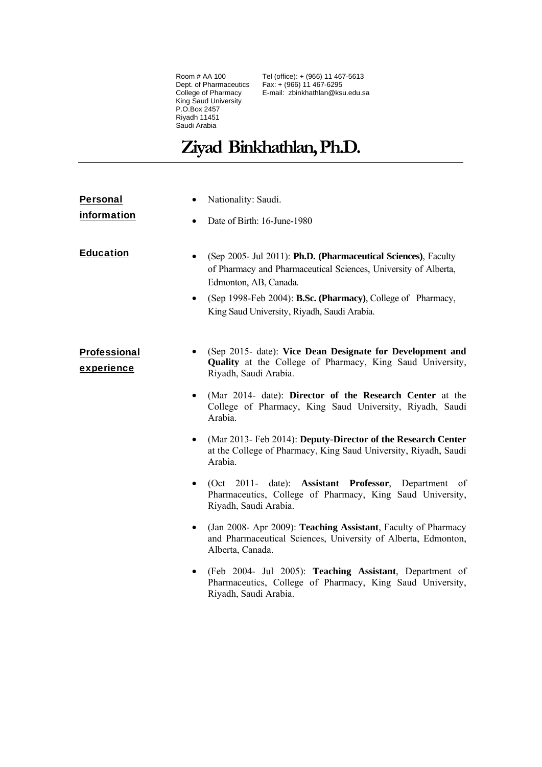Room # AA 100 Dept. of Pharmaceutics College of Pharmacy King Saud University P.O.Box 2457 Riyadh 11451 Saudi Arabia

Tel (office): + (966) 11 467-5613 Fax: + (966) 11 467-6295 E-mail: zbinkhathlan@ksu.edu.sa

# **Ziyad Binkhathlan, Ph.D.**

| <b>Personal</b>            |                | Nationality: Saudi.                                                                                                                                                                                                                                                      |
|----------------------------|----------------|--------------------------------------------------------------------------------------------------------------------------------------------------------------------------------------------------------------------------------------------------------------------------|
| information                | ٠              | Date of Birth: 16-June-1980                                                                                                                                                                                                                                              |
| <b>Education</b>           | ٠<br>$\bullet$ | (Sep 2005- Jul 2011): Ph.D. (Pharmaceutical Sciences), Faculty<br>of Pharmacy and Pharmaceutical Sciences, University of Alberta,<br>Edmonton, AB, Canada.<br>(Sep 1998-Feb 2004): B.Sc. (Pharmacy), College of Pharmacy,<br>King Saud University, Riyadh, Saudi Arabia. |
| Professional<br>experience | ٠              | (Sep 2015- date): Vice Dean Designate for Development and<br><b>Quality</b> at the College of Pharmacy, King Saud University,<br>Riyadh, Saudi Arabia.                                                                                                                   |
|                            | $\bullet$      | (Mar 2014- date): Director of the Research Center at the<br>College of Pharmacy, King Saud University, Riyadh, Saudi<br>Arabia.                                                                                                                                          |
|                            | $\bullet$      | (Mar 2013-Feb 2014): Deputy-Director of the Research Center<br>at the College of Pharmacy, King Saud University, Riyadh, Saudi<br>Arabia.                                                                                                                                |
|                            | $\bullet$      | (Oct 2011- date): Assistant Professor, Department<br>of<br>Pharmaceutics, College of Pharmacy, King Saud University,<br>Riyadh, Saudi Arabia.                                                                                                                            |
|                            | $\bullet$      | (Jan 2008- Apr 2009): Teaching Assistant, Faculty of Pharmacy<br>and Pharmaceutical Sciences, University of Alberta, Edmonton,<br>Alberta, Canada.                                                                                                                       |
|                            | $\bullet$      | (Feb 2004- Jul 2005): Teaching Assistant, Department of<br>Pharmaceutics, College of Pharmacy, King Saud University,<br>Riyadh, Saudi Arabia.                                                                                                                            |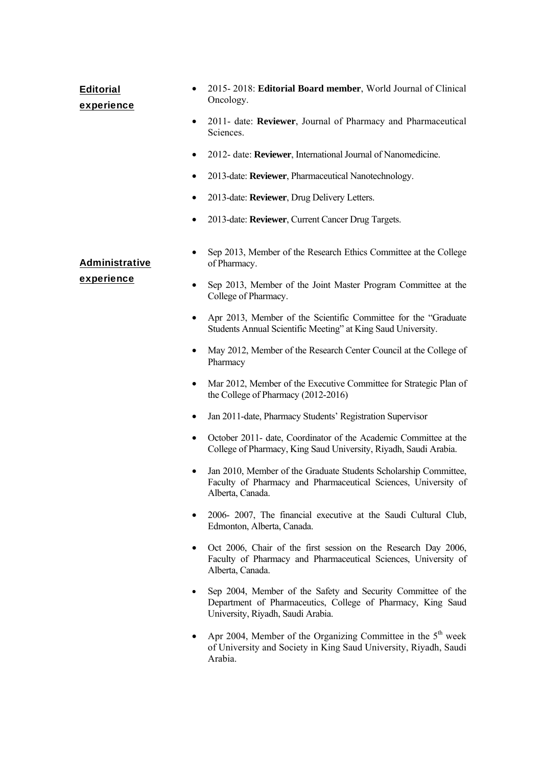# Editorial

## experience

- 2015- 2018: **Editorial Board member**, World Journal of Clinical Oncology.
- 2011- date: **Reviewer**, Journal of Pharmacy and Pharmaceutical Sciences.
- 2012- date: **Reviewer**, International Journal of Nanomedicine.
- 2013-date: **Reviewer**, Pharmaceutical Nanotechnology.
- 2013-date: **Reviewer**, Drug Delivery Letters.

of Pharmacy.

• 2013-date: **Reviewer**, Current Cancer Drug Targets.

## Administrative

### experience

• Sep 2013, Member of the Joint Master Program Committee at the College of Pharmacy.

• Sep 2013, Member of the Research Ethics Committee at the College

- Apr 2013, Member of the Scientific Committee for the "Graduate Students Annual Scientific Meeting" at King Saud University.
- May 2012, Member of the Research Center Council at the College of Pharmacy
- Mar 2012, Member of the Executive Committee for Strategic Plan of the College of Pharmacy (2012-2016)
- Jan 2011-date, Pharmacy Students' Registration Supervisor
- October 2011- date, Coordinator of the Academic Committee at the College of Pharmacy, King Saud University, Riyadh, Saudi Arabia.
- Jan 2010, Member of the Graduate Students Scholarship Committee, Faculty of Pharmacy and Pharmaceutical Sciences, University of Alberta, Canada.
- 2006- 2007, The financial executive at the Saudi Cultural Club, Edmonton, Alberta, Canada.
- Oct 2006, Chair of the first session on the Research Day 2006, Faculty of Pharmacy and Pharmaceutical Sciences, University of Alberta, Canada.
- Sep 2004, Member of the Safety and Security Committee of the Department of Pharmaceutics, College of Pharmacy, King Saud University, Riyadh, Saudi Arabia.
- Apr 2004, Member of the Organizing Committee in the  $5<sup>th</sup>$  week of University and Society in King Saud University, Riyadh, Saudi Arabia.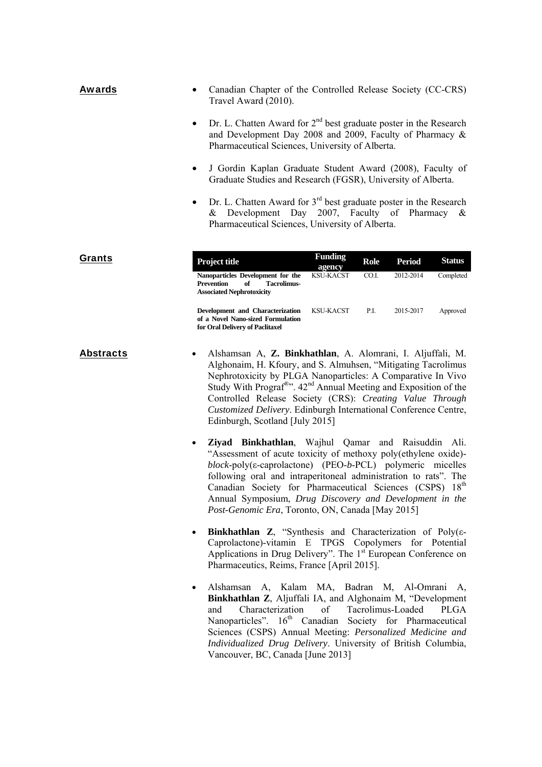| <b>Awards</b>    | Canadian Chapter of the Controlled Release Society (CC-CRS)<br>Travel Award (2010).                                                                                                                                                                                                                                                                                                                                                                      |
|------------------|----------------------------------------------------------------------------------------------------------------------------------------------------------------------------------------------------------------------------------------------------------------------------------------------------------------------------------------------------------------------------------------------------------------------------------------------------------|
|                  | Dr. L. Chatten Award for $2nd$ best graduate poster in the Research<br>$\bullet$<br>and Development Day 2008 and 2009, Faculty of Pharmacy &<br>Pharmaceutical Sciences, University of Alberta.                                                                                                                                                                                                                                                          |
|                  | J Gordin Kaplan Graduate Student Award (2008), Faculty of<br>Graduate Studies and Research (FGSR), University of Alberta.                                                                                                                                                                                                                                                                                                                                |
|                  | Dr. L. Chatten Award for $3rd$ best graduate poster in the Research<br>$\bullet$<br>& Development Day 2007, Faculty of Pharmacy &<br>Pharmaceutical Sciences, University of Alberta.                                                                                                                                                                                                                                                                     |
| Grants           | <b>Funding</b><br><b>Status</b><br>Project title<br><b>Role</b><br><b>Period</b><br>agency<br>CO.I.<br>2012-2014<br>Completed<br><b>KSU-KACST</b><br>Nanoparticles Development for the<br><b>Prevention</b><br><b>Tacrolimus-</b><br>of<br><b>Associated Nephrotoxicity</b>                                                                                                                                                                              |
|                  | P.I.<br>Approved<br>Development and Characterization<br>KSU-KACST<br>2015-2017<br>of a Novel Nano-sized Formulation<br>for Oral Delivery of Paclitaxel                                                                                                                                                                                                                                                                                                   |
| <b>Abstracts</b> | Alshamsan A, Z. Binkhathlan, A. Alomrani, I. Aljuffali, M.<br>Alghonaim, H. Kfoury, and S. Almuhsen, "Mitigating Tacrolimus<br>Nephrotoxicity by PLGA Nanoparticles: A Comparative In Vivo<br>Study With Prograf <sup>®</sup> ". 42 <sup>nd</sup> Annual Meeting and Exposition of the<br>Controlled Release Society (CRS): Creating Value Through<br>Customized Delivery. Edinburgh International Conference Centre,<br>Edinburgh, Scotland [July 2015] |
|                  | Ziyad Binkhathlan, Wajhul Qamar and Raisuddin Ali.<br>"Assessment of acute toxicity of methoxy poly(ethylene oxide)-<br>$block$ -poly( $\varepsilon$ -caprolactone) (PEO-b-PCL) polymeric micelles<br>following oral and intraperitoneal administration to rats". The<br>Canadian Society for Pharmaceutical Sciences (CSPS) 18th<br>Annual Symposium, Drug Discovery and Development in the<br>Post-Genomic Era, Toronto, ON, Canada [May 2015]         |
|                  | <b>Binkhathlan Z</b> , "Synthesis and Characterization of Poly( $\varepsilon$ -<br>$\bullet$<br>Caprolactone)-vitamin E TPGS Copolymers for Potential<br>Applications in Drug Delivery". The 1 <sup>st</sup> European Conference on<br>Pharmaceutics, Reims, France [April 2015].                                                                                                                                                                        |
|                  | Alshamsan A, Kalam MA, Badran M, Al-Omrani A,<br>$\bullet$<br>Binkhathlan Z, Aljuffali IA, and Alghonaim M, "Development<br>Characterization<br>Tacrolimus-Loaded<br>of<br><b>PLGA</b><br>and<br>Nanoparticles". 16 <sup>th</sup> Canadian Society for Pharmaceutical<br>Sciences (CSPS) Annual Meeting: Personalized Medicine and<br>Individualized Drug Delivery. University of British Columbia,<br>Vancouver, BC, Canada [June 2013]                 |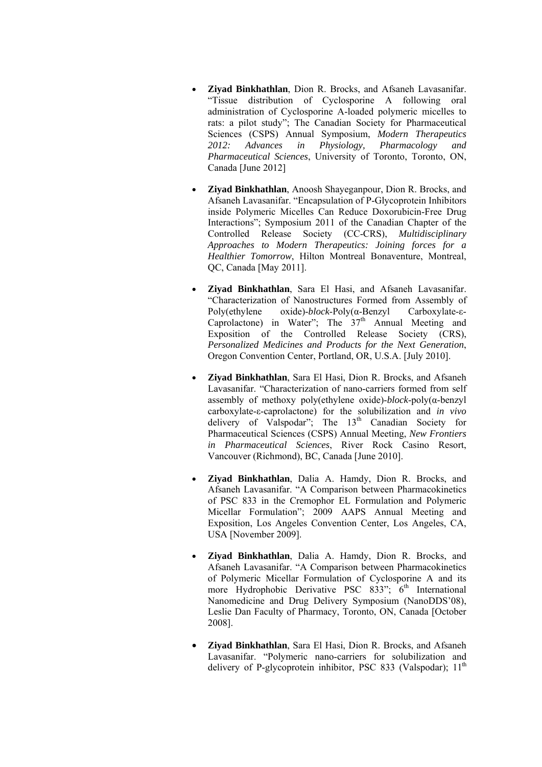- **Ziyad Binkhathlan**, Dion R. Brocks, and Afsaneh Lavasanifar. "Tissue distribution of Cyclosporine A following oral administration of Cyclosporine A-loaded polymeric micelles to rats: a pilot study"; The Canadian Society for Pharmaceutical Sciences (CSPS) Annual Symposium, *Modern Therapeutics 2012: Advances in Physiology, Pharmacology and Pharmaceutical Sciences*, University of Toronto, Toronto, ON, Canada [June 2012]
- **Ziyad Binkhathlan**, Anoosh Shayeganpour, Dion R. Brocks, and Afsaneh Lavasanifar. "Encapsulation of P-Glycoprotein Inhibitors inside Polymeric Micelles Can Reduce Doxorubicin-Free Drug Interactions"; Symposium 2011 of the Canadian Chapter of the Controlled Release Society (CC-CRS), *Multidisciplinary Approaches to Modern Therapeutics: Joining forces for a Healthier Tomorrow*, Hilton Montreal Bonaventure, Montreal, QC, Canada [May 2011].
- **Ziyad Binkhathlan**, Sara El Hasi, and Afsaneh Lavasanifar. "Characterization of Nanostructures Formed from Assembly of Poly(ethylene oxide)-*block*-Poly(α-Benzyl Carboxylate-ε-Caprolactone) in Water"; The  $37<sup>th</sup>$  Annual Meeting and Exposition of the Controlled Release Society (CRS), *Personalized Medicines and Products for the Next Generation*, Oregon Convention Center, Portland, OR, U.S.A. [July 2010].
- **Ziyad Binkhathlan**, Sara El Hasi, Dion R. Brocks, and Afsaneh Lavasanifar. "Characterization of nano-carriers formed from self assembly of methoxy poly(ethylene oxide)-*block*-poly(α-benzyl carboxylate-ε-caprolactone) for the solubilization and *in vivo* delivery of Valspodar"; The  $13<sup>th</sup>$  Canadian Society for Pharmaceutical Sciences (CSPS) Annual Meeting, *New Frontiers in Pharmaceutical Sciences*, River Rock Casino Resort, Vancouver (Richmond), BC, Canada [June 2010].
- **Ziyad Binkhathlan**, Dalia A. Hamdy, Dion R. Brocks, and Afsaneh Lavasanifar. "A Comparison between Pharmacokinetics of PSC 833 in the Cremophor EL Formulation and Polymeric Micellar Formulation"; 2009 AAPS Annual Meeting and Exposition, Los Angeles Convention Center, Los Angeles, CA, USA [November 2009].
- **Ziyad Binkhathlan**, Dalia A. Hamdy, Dion R. Brocks, and Afsaneh Lavasanifar. "A Comparison between Pharmacokinetics of Polymeric Micellar Formulation of Cyclosporine A and its more Hydrophobic Derivative PSC  $833$ ";  $6<sup>th</sup>$  International Nanomedicine and Drug Delivery Symposium (NanoDDS'08), Leslie Dan Faculty of Pharmacy, Toronto, ON, Canada [October 2008].
- **Ziyad Binkhathlan**, Sara El Hasi, Dion R. Brocks, and Afsaneh Lavasanifar. "Polymeric nano-carriers for solubilization and delivery of P-glycoprotein inhibitor, PSC 833 (Valspodar);  $11<sup>th</sup>$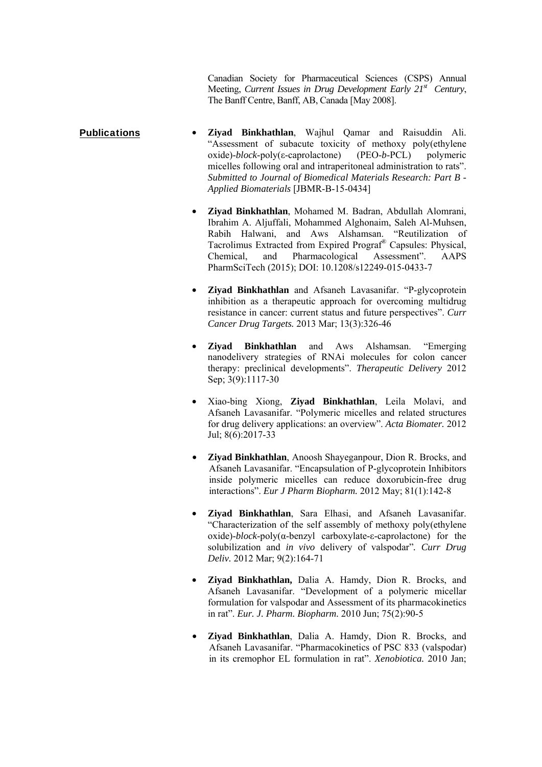Canadian Society for Pharmaceutical Sciences (CSPS) Annual Meeting, *Current Issues in Drug Development Early 21st Century*, The Banff Centre, Banff, AB, Canada [May 2008].

- Publications **Ziyad Binkhathlan**, Wajhul Qamar and Raisuddin Ali. "Assessment of subacute toxicity of methoxy poly(ethylene oxide)-*block*-poly(ε-caprolactone) (PEO-*b*-PCL) polymeric micelles following oral and intraperitoneal administration to rats". *Submitted to Journal of Biomedical Materials Research: Part B - Applied Biomaterials* [JBMR-B-15-0434]
	- **Ziyad Binkhathlan**, Mohamed M. Badran, Abdullah Alomrani, Ibrahim A. Aljuffali, Mohammed Alghonaim, Saleh Al-Muhsen, Rabih Halwani, and Aws Alshamsan. "Reutilization of Tacrolimus Extracted from Expired Prograf® Capsules: Physical, Chemical, and Pharmacological Assessment". AAPS PharmSciTech (2015); DOI: 10.1208/s12249-015-0433-7
	- **Ziyad Binkhathlan** and Afsaneh Lavasanifar. "P-glycoprotein inhibition as a therapeutic approach for overcoming multidrug resistance in cancer: current status and future perspectives". *Curr Cancer Drug Targets.* 2013 Mar; 13(3):326-46
	- **Ziyad Binkhathlan** and Aws Alshamsan. "Emerging nanodelivery strategies of RNAi molecules for colon cancer therapy: preclinical developments". *Therapeutic Delivery* 2012 Sep; 3(9):1117-30
	- Xiao-bing Xiong, **Ziyad Binkhathlan**, Leila Molavi, and Afsaneh Lavasanifar. "Polymeric micelles and related structures for drug delivery applications: an overview". *Acta Biomater.* 2012 Jul; 8(6):2017-33
	- **Ziyad Binkhathlan**, Anoosh Shayeganpour, Dion R. Brocks, and Afsaneh Lavasanifar. "Encapsulation of P-glycoprotein Inhibitors inside polymeric micelles can reduce doxorubicin-free drug interactions". *Eur J Pharm Biopharm.* 2012 May; 81(1):142-8
	- **Ziyad Binkhathlan**, Sara Elhasi, and Afsaneh Lavasanifar. "Characterization of the self assembly of methoxy poly(ethylene oxide)-*block*-poly(α-benzyl carboxylate-ε-caprolactone) for the solubilization and *in vivo* delivery of valspodar"*. Curr Drug Deliv.* 2012 Mar; 9(2):164-71
	- **Ziyad Binkhathlan,** Dalia A. Hamdy, Dion R. Brocks, and Afsaneh Lavasanifar. "Development of a polymeric micellar formulation for valspodar and Assessment of its pharmacokinetics in rat". *Eur. J. Pharm. Biopharm.* 2010 Jun; 75(2):90-5
	- **Ziyad Binkhathlan**, Dalia A. Hamdy, Dion R. Brocks, and Afsaneh Lavasanifar. "Pharmacokinetics of PSC 833 (valspodar) in its cremophor EL formulation in rat". *Xenobiotica.* 2010 Jan;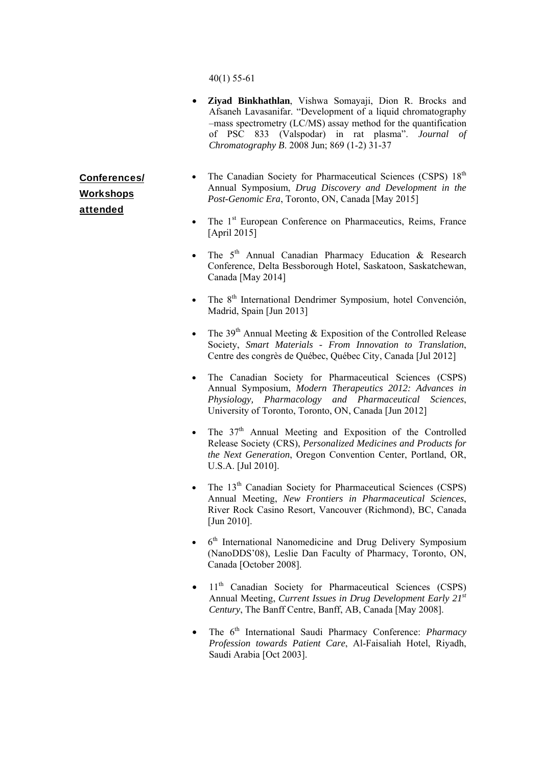40(1) 55-61

- **Ziyad Binkhathlan**, Vishwa Somayaji, Dion R. Brocks and Afsaneh Lavasanifar. "Development of a liquid chromatography –mass spectrometry (LC/MS) assay method for the quantification of PSC 833 (Valspodar) in rat plasma". *Journal of Chromatography B*. 2008 Jun; 869 (1-2) 31-37
- The Canadian Society for Pharmaceutical Sciences (CSPS) 18<sup>th</sup> Annual Symposium, *Drug Discovery and Development in the Post-Genomic Era*, Toronto, ON, Canada [May 2015]
- The  $1<sup>st</sup>$  European Conference on Pharmaceutics, Reims, France [April 2015]
- The  $5<sup>th</sup>$  Annual Canadian Pharmacy Education & Research Conference, Delta Bessborough Hotel, Saskatoon, Saskatchewan, Canada [May 2014]
- The 8<sup>th</sup> International Dendrimer Symposium, hotel Convención, Madrid, Spain [Jun 2013]
- The  $39<sup>th</sup>$  Annual Meeting & Exposition of the Controlled Release Society, *Smart Materials - From Innovation to Translation*, Centre des congrès de Québec, Québec City, Canada [Jul 2012]
- The Canadian Society for Pharmaceutical Sciences (CSPS) Annual Symposium, *Modern Therapeutics 2012: Advances in Physiology, Pharmacology and Pharmaceutical Sciences*, University of Toronto, Toronto, ON, Canada [Jun 2012]
- The  $37<sup>th</sup>$  Annual Meeting and Exposition of the Controlled Release Society (CRS), *Personalized Medicines and Products for the Next Generation*, Oregon Convention Center, Portland, OR, U.S.A. [Jul 2010].
- The  $13<sup>th</sup>$  Canadian Society for Pharmaceutical Sciences (CSPS) Annual Meeting, *New Frontiers in Pharmaceutical Sciences*, River Rock Casino Resort, Vancouver (Richmond), BC, Canada [Jun 2010].
- 6<sup>th</sup> International Nanomedicine and Drug Delivery Symposium (NanoDDS'08), Leslie Dan Faculty of Pharmacy, Toronto, ON, Canada [October 2008].
- 11<sup>th</sup> Canadian Society for Pharmaceutical Sciences (CSPS) Annual Meeting, *Current Issues in Drug Development Early 21st Century*, The Banff Centre, Banff, AB, Canada [May 2008].
- The 6th International Saudi Pharmacy Conference: *Pharmacy Profession towards Patient Care*, Al-Faisaliah Hotel, Riyadh, Saudi Arabia [Oct 2003].

Conferences/ **Workshops** attended